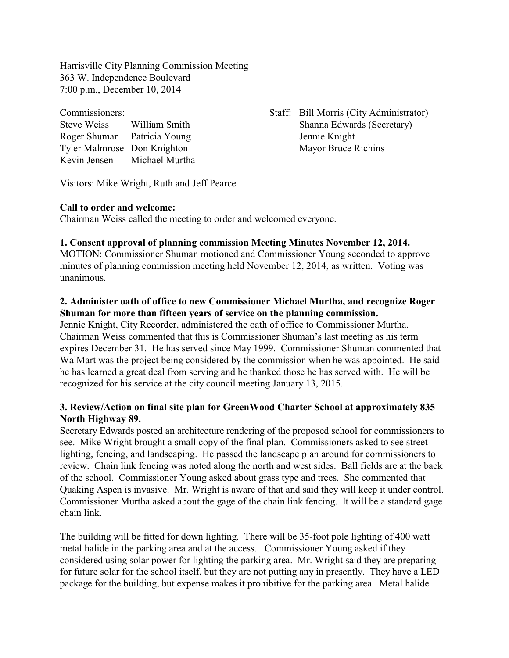Harrisville City Planning Commission Meeting 363 W. Independence Boulevard 7:00 p.m., December 10, 2014

| Commissioners:              |                |
|-----------------------------|----------------|
| <b>Steve Weiss</b>          | William Smith  |
| Roger Shuman                | Patricia Young |
| Tyler Malmrose Don Knighton |                |
| Kevin Jensen                | Michael Murtha |

Staff: Bill Morris (City Administrator) Shanna Edwards (Secretary) Jennie Knight Mayor Bruce Richins

Visitors: Mike Wright, Ruth and Jeff Pearce

#### **Call to order and welcome:**

Chairman Weiss called the meeting to order and welcomed everyone.

# **1. Consent approval of planning commission Meeting Minutes November 12, 2014.**

MOTION: Commissioner Shuman motioned and Commissioner Young seconded to approve minutes of planning commission meeting held November 12, 2014, as written. Voting was unanimous.

## **2. Administer oath of office to new Commissioner Michael Murtha, and recognize Roger Shuman for more than fifteen years of service on the planning commission.**

Jennie Knight, City Recorder, administered the oath of office to Commissioner Murtha. Chairman Weiss commented that this is Commissioner Shuman's last meeting as his term expires December 31. He has served since May 1999. Commissioner Shuman commented that WalMart was the project being considered by the commission when he was appointed. He said he has learned a great deal from serving and he thanked those he has served with. He will be recognized for his service at the city council meeting January 13, 2015.

## **3. Review/Action on final site plan for GreenWood Charter School at approximately 835 North Highway 89.**

Secretary Edwards posted an architecture rendering of the proposed school for commissioners to see. Mike Wright brought a small copy of the final plan. Commissioners asked to see street lighting, fencing, and landscaping. He passed the landscape plan around for commissioners to review. Chain link fencing was noted along the north and west sides. Ball fields are at the back of the school. Commissioner Young asked about grass type and trees. She commented that Quaking Aspen is invasive. Mr. Wright is aware of that and said they will keep it under control. Commissioner Murtha asked about the gage of the chain link fencing. It will be a standard gage chain link.

The building will be fitted for down lighting. There will be 35-foot pole lighting of 400 watt metal halide in the parking area and at the access. Commissioner Young asked if they considered using solar power for lighting the parking area. Mr. Wright said they are preparing for future solar for the school itself, but they are not putting any in presently. They have a LED package for the building, but expense makes it prohibitive for the parking area. Metal halide